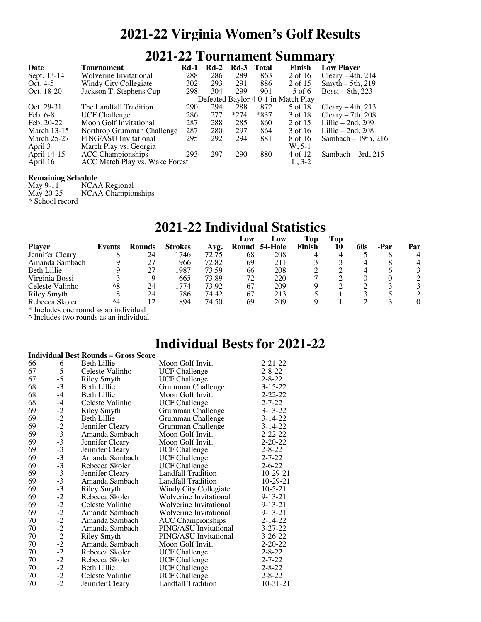## **2021-22 Virginia Women's Golf Results**

### **2021-22 Tournament Summary**

| Date               | Tournament                     | <b>Rd-1</b> | $Rd-2$ | $Rd-3$ | Total  | <b>Finish</b>                       | <b>Low Player</b>    |
|--------------------|--------------------------------|-------------|--------|--------|--------|-------------------------------------|----------------------|
| Sept. 13-14        | Wolverine Invitational         | 288         | 286    | 289    | 863    | 2 of 16                             | Cleary $-4th$ , 214  |
| Oct. $4-5$         | Windy City Collegiate          | 302         | 293    | 291    | 886    | 2 of 15                             | Smyth $-5$ th, 219   |
| Oct. 18-20         | Jackson T. Stephens Cup        | 298         | 304    | 299    | 901    | 5 of 6                              | $Bossi - 8th$ , 223  |
|                    |                                |             |        |        |        | Defeated Baylor 4-0-1 in Match Play |                      |
| Oct. 29-31         | The Landfall Tradition         | 290         | 294    | 288    | 872    | 5 of 18                             | Cleary $-4th$ , 213  |
| Feb. 6-8           | <b>UCF Challenge</b>           | 286         | 277    | $*274$ | $*837$ | 3 of 18                             | Cleary $-7th$ , 208  |
| Feb. 20-22         | Moon Golf Invitational         | 287         | 288    | 285    | 860    | 2 of 15                             | Lillie $-2nd, 209$   |
| <b>March 13-15</b> | Northrop Grumman Challenge     | 287         | 280    | 297    | 864    | 3 of 16                             | Lillie $-2nd$ , 208  |
| <b>March 25-27</b> | PING/ASU Invitational          | 295         | 292    | 294    | 881    | 8 of 16                             | Sambach $-19th, 216$ |
| April 3            | March Play vs. Georgia         |             |        |        |        | $W. 5-1$                            |                      |
| April 14-15        | <b>ACC</b> Championships       | 293         | 297    | 290    | 880    | 4 of 12                             | Sambach $-3rd$ , 215 |
| April 16           | ACC Match Play vs. Wake Forest |             |        |        |        | $L, 3-2$                            |                      |

**Remaining Schedule**<br>May 9-11 NCA May 9-11 NCAA Regional<br>May 20-25 NCAA Champion NCAA Championships \* School record

## **2021-22 Individual Statistics**

|                                       |               |               |                |       | Low   | Low            | Top    | Top |     |      |          |
|---------------------------------------|---------------|---------------|----------------|-------|-------|----------------|--------|-----|-----|------|----------|
| <b>Player</b>                         | Events        | <b>Rounds</b> | <b>Strokes</b> | Avg.  | Round | <b>54-Hole</b> | Finish | 10  | 60s | -Par | Par      |
| Jennifer Cleary                       |               | 24            | .746           | 72.75 | 68    | 208            |        |     |     |      |          |
| Amanda Sambach                        |               | 27            | 1966           | 72.82 | 69    | 211            |        |     |     |      |          |
| <b>Beth Lillie</b>                    |               | 27            | 1987           | 73.59 | 66    | 208            |        |     |     |      |          |
| Virginia Bossi                        |               |               | 665            | 73.89 | 72    | 220            |        |     |     |      |          |
| Celeste Valinho                       | $^{\wedge 8}$ | 24            | 774            | 73.92 | 67    | 209            |        |     |     |      |          |
| <b>Riley Smyth</b>                    |               | 24            | .786           | 74.42 | 67    | 213            |        |     |     |      |          |
| Rebecca Skoler                        | $\Lambda$     | 12            | 894            | 74.50 | 69    | 209            |        |     |     |      | $\Omega$ |
| * Includes one round as an individual |               |               |                |       |       |                |        |     |     |      |          |

\* Includes one round as an individual ^ Includes two rounds as an individual

#### **Individual Bests for 2021-22**

| <b>Individual Best Rounds - Gross Score</b> |                                                              |                    |                           |               |  |
|---------------------------------------------|--------------------------------------------------------------|--------------------|---------------------------|---------------|--|
| 66                                          | $-6$                                                         | <b>Beth Lillie</b> | Moon Golf Invit.          | $2 - 21 - 22$ |  |
| 67                                          | $-5$                                                         | Celeste Valinho    | <b>UCF Challenge</b>      | $2 - 8 - 22$  |  |
| 67                                          | $-5$                                                         | <b>Riley Smyth</b> | <b>UCF</b> Challenge      | $2 - 8 - 22$  |  |
| 68                                          | $-3$                                                         | <b>Beth Lillie</b> | Grumman Challenge         | $3 - 15 - 22$ |  |
| 68                                          | $-4$                                                         | Beth Lillie        | Moon Golf Invit.          | $2 - 22 - 22$ |  |
| 68                                          |                                                              | Celeste Valinho    | <b>UCF Challenge</b>      | $2 - 7 - 22$  |  |
| 69                                          | $-4$<br>$-2$<br>$-2$<br>$-3$                                 | <b>Riley Smyth</b> | Grumman Challenge         | $3 - 13 - 22$ |  |
| 69                                          |                                                              | <b>Beth Lillie</b> | Grumman Challenge         | $3-14-22$     |  |
| 69                                          |                                                              | Jennifer Cleary    | Grumman Challenge         | $3 - 14 - 22$ |  |
| 69                                          |                                                              | Amanda Sambach     | Moon Golf Invit.          | $2 - 22 - 22$ |  |
| 69                                          |                                                              | Jennifer Cleary    | Moon Golf Invit.          | $2 - 20 - 22$ |  |
| 69                                          |                                                              | Jennifer Cleary    | <b>UCF Challenge</b>      | $2 - 8 - 22$  |  |
| 69                                          | $-3$<br>$-3$<br>$-3$<br>$-3$                                 | Amanda Sambach     | <b>UCF Challenge</b>      | $2 - 7 - 22$  |  |
| 69                                          |                                                              | Rebecca Skoler     | <b>UCF</b> Challenge      | $2 - 6 - 22$  |  |
| 69                                          | $-3$                                                         | Jennifer Cleary    | Landfall Tradition        | $10-29-21$    |  |
| 69                                          | $-3$                                                         | Amanda Sambach     | <b>Landfall Tradition</b> | $10-29-21$    |  |
| 69                                          | $-3$<br>$-2$<br>$-2$                                         | <b>Riley Smyth</b> | Windy City Collegiate     | $10 - 5 - 21$ |  |
| 69                                          |                                                              | Rebecca Skoler     | Wolverine Invitational    | $9 - 13 - 21$ |  |
| 69                                          |                                                              | Celeste Valinho    | Wolverine Invitational    | $9 - 13 - 21$ |  |
| 69                                          |                                                              | Amanda Sambach     | Wolverine Invitational    | $9 - 13 - 21$ |  |
| 70                                          |                                                              | Amanda Sambach     | <b>ACC Championships</b>  | $2 - 14 - 22$ |  |
| 70                                          |                                                              | Amanda Sambach     | PING/ASU Invitational     | $3 - 27 - 22$ |  |
| 70                                          |                                                              | <b>Riley Smyth</b> | PING/ASU Invitational     | $3 - 26 - 22$ |  |
| 70                                          |                                                              | Amanda Sambach     | Moon Golf Invit.          | $2 - 20 - 22$ |  |
| 70                                          |                                                              | Rebecca Skoler     | <b>UCF Challenge</b>      | $2 - 8 - 22$  |  |
| 70                                          |                                                              | Rebecca Skoler     | <b>UCF Challenge</b>      | $2 - 7 - 22$  |  |
| 70                                          | $-2$<br>$-2$<br>$-2$<br>$-2$<br>$-2$<br>$-2$<br>$-2$<br>$-2$ | Beth Lillie        | <b>UCF Challenge</b>      | $2 - 8 - 22$  |  |
| 70                                          |                                                              | Celeste Valinho    | <b>UCF Challenge</b>      | $2 - 8 - 22$  |  |
| 70                                          |                                                              | Jennifer Cleary    | <b>Landfall Tradition</b> | $10-31-21$    |  |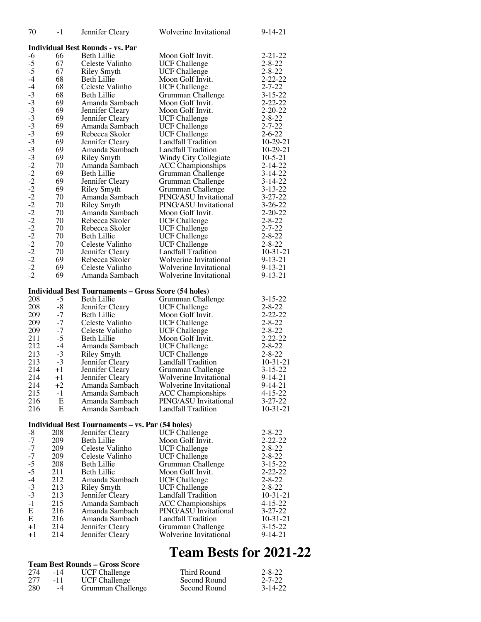| 70                   | $-1$         | Jennifer Cleary                                                            | Wolverine Invitational                      | $9 - 14 - 21$                  |
|----------------------|--------------|----------------------------------------------------------------------------|---------------------------------------------|--------------------------------|
|                      |              | <b>Individual Best Rounds - vs. Par</b>                                    |                                             |                                |
| $-6$                 | 66           | <b>Beth Lillie</b>                                                         | Moon Golf Invit.                            | $2 - 21 - 22$                  |
| $-5$                 | 67           | Celeste Valinho                                                            | <b>UCF Challenge</b>                        | $2 - 8 - 22$                   |
| $-5$                 | 67           | <b>Riley Smyth</b>                                                         | <b>UCF Challenge</b>                        | $2 - 8 - 22$                   |
| $-4$                 | 68           | <b>Beth Lillie</b>                                                         | Moon Golf Invit.                            | $2 - 22 - 22$                  |
| $-4$                 | 68           | Celeste Valinho                                                            | <b>UCF Challenge</b>                        | $2 - 7 - 22$                   |
| $-3$                 | 68           | <b>Beth Lillie</b>                                                         | Grumman Challenge                           | $3 - 15 - 22$                  |
|                      | 69           | Amanda Sambach                                                             | Moon Golf Invit.                            | $2 - 22 - 22$                  |
| $-3$<br>$-3$         | 69           | Jennifer Cleary                                                            | Moon Golf Invit.                            | $2 - 20 - 22$                  |
| $-3$                 | 69           | Jennifer Cleary                                                            | <b>UCF Challenge</b>                        | $2 - 8 - 22$                   |
| $-3$<br>$-3$<br>$-3$ | 69           | Amanda Sambach                                                             | <b>UCF Challenge</b>                        | $2 - 7 - 22$                   |
|                      | 69           | Rebecca Skoler                                                             | UCF Challenge                               | $2 - 6 - 22$                   |
|                      | 69           | Jennifer Cleary                                                            | <b>Landfall Tradition</b>                   | $10-29-21$                     |
|                      | 69           | Amanda Sambach                                                             | Landfall Tradition                          | $10-29-21$                     |
|                      | 69<br>70     | <b>Riley Smyth</b>                                                         | Windy City Collegiate                       | $10-5-21$                      |
|                      | 69           | Amanda Sambach<br>Beth Lillie                                              | <b>ACC</b> Championships                    | $2 - 14 - 22$<br>$3 - 14 - 22$ |
|                      | 69           | Jennifer Cleary                                                            | Grumman Challenge<br>Grumman Challenge      | $3 - 14 - 22$                  |
|                      | 69           | <b>Riley Smyth</b>                                                         | Grumman Challenge                           | $3 - 13 - 22$                  |
|                      | 70           | Amanda Sambach                                                             | PING/ASU Invitational                       | $3 - 27 - 22$                  |
|                      | 70           | <b>Riley Smyth</b>                                                         | PING/ASU Invitational                       | $3 - 26 - 22$                  |
|                      | 70           | Amanda Sambach                                                             | Moon Golf Invit.                            | $2 - 20 - 22$                  |
|                      | 70           | Rebecca Skoler                                                             | <b>UCF Challenge</b>                        | $2 - 8 - 22$                   |
|                      | 70           | Rebecca Skoler                                                             | <b>UCF</b> Challenge                        | $2 - 7 - 22$                   |
|                      | 70           | Beth Lillie                                                                | <b>UCF</b> Challenge                        | $2 - 8 - 22$                   |
|                      | 70           | Celeste Valinho                                                            | <b>UCF Challenge</b>                        | $2 - 8 - 22$                   |
|                      | 70           | Jennifer Cleary                                                            | <b>Landfall Tradition</b>                   | $10-31-21$                     |
|                      | 69           | Rebecca Skoler                                                             | Wolverine Invitational                      | $9 - 13 - 21$                  |
| $-2$<br>$-2$         | 69<br>69     | Celeste Valinho                                                            | Wolverine Invitational                      | $9 - 13 - 21$                  |
|                      |              | Amanda Sambach                                                             | Wolverine Invitational                      | $9 - 13 - 21$                  |
|                      |              |                                                                            |                                             |                                |
|                      |              |                                                                            |                                             |                                |
| 208                  | $-5$         | <b>Individual Best Tournaments - Gross Score (54 holes)</b><br>Beth Lillie | Grumman Challenge                           | $3 - 15 - 22$                  |
| 208                  | $-8$         | Jennifer Cleary                                                            | <b>UCF Challenge</b>                        | $2 - 8 - 22$                   |
| 209                  | $-7$         | <b>Beth Lillie</b>                                                         | Moon Golf Invit.                            | $2 - 22 - 22$                  |
| 209                  | $-7$         | Celeste Valinho                                                            | <b>UCF Challenge</b>                        | $2 - 8 - 22$                   |
| 209                  | $-7$         | Celeste Valinho                                                            | <b>UCF Challenge</b>                        | $2 - 8 - 22$                   |
| 211                  | $-5$         | <b>Beth Lillie</b>                                                         | Moon Golf Invit.                            | $2 - 22 - 22$                  |
| 212                  | $-4$         | Amanda Sambach                                                             | <b>UCF Challenge</b>                        | $2 - 8 - 22$                   |
| 213                  | $-3$         | <b>Riley Smyth</b>                                                         | <b>UCF Challenge</b>                        | $2 - 8 - 22$                   |
| 213                  | $-3$         | Jennifer Cleary                                                            | Landfall Tradition                          | $10-31-21$<br>$3 - 15 - 22$    |
| 214<br>214           | $+1$<br>$+1$ | Jennifer Cleary<br>Jennifer Cleary                                         | Grumman Challenge<br>Wolverine Invitational | $9 - 14 - 21$                  |
| 214                  | $+2$         | Amanda Sambach                                                             | Wolverine Invitational                      | $9 - 14 - 21$                  |
| 215                  | $-1$         | Amanda Sambach                                                             | <b>ACC Championships</b>                    | $4 - 15 - 22$                  |
| 216                  | E            | Amanda Sambach                                                             | PING/ASU Invitational                       | $3 - 27 - 22$                  |
| 216                  | E            | Amanda Sambach                                                             | <b>Landfall Tradition</b>                   | $10-31-21$                     |
|                      |              |                                                                            |                                             |                                |
| $-8$                 | 208          | <b>Individual Best Tournaments - vs. Par (54 holes)</b>                    |                                             | $2 - 8 - 22$                   |
| $-7$                 | 209          | Jennifer Cleary<br>Beth Lillie                                             | <b>UCF Challenge</b><br>Moon Golf Invit.    | $2 - 22 - 22$                  |
| $-7$                 | 209          | Celeste Valinho                                                            | <b>UCF Challenge</b>                        | $2 - 8 - 22$                   |
| $-7$                 | 209          | Celeste Valinho                                                            | <b>UCF Challenge</b>                        | $2 - 8 - 22$                   |
| $-5$                 | 208          | <b>Beth Lillie</b>                                                         | Grumman Challenge                           | $3 - 15 - 22$                  |
| $-5$                 | 211          | Beth Lillie                                                                | Moon Golf Invit.                            | $2 - 22 - 22$                  |
| $-4$                 | 212          | Amanda Sambach                                                             | <b>UCF Challenge</b>                        | $2 - 8 - 22$                   |
| $-3$                 | 213          | <b>Riley Smyth</b>                                                         | <b>UCF Challenge</b>                        | $2 - 8 - 22$                   |
| $-3$                 | 213          | Jennifer Cleary                                                            | Landfall Tradition                          | $10-31-21$                     |
| $-1$                 | 215          | Amanda Sambach                                                             | <b>ACC Championships</b>                    | 4-15-22                        |
| E                    | 216          | Amanda Sambach                                                             | PING/ASU Invitational                       | $3 - 27 - 22$                  |
| E<br>$+1$            | 216          | Amanda Sambach                                                             | Landfall Tradition                          | $10-31-21$                     |
| $+1$                 | 214<br>214   | Jennifer Cleary<br>Jennifer Cleary                                         | Grumman Challenge<br>Wolverine Invitational | $3 - 15 - 22$<br>9-14-21       |

# **Team Bests for 2021-22**

| <b>Team Best Rounds – Gross Score</b> |       |                      |              |              |  |  |  |
|---------------------------------------|-------|----------------------|--------------|--------------|--|--|--|
| 274                                   | $-14$ | <b>UCF Challenge</b> | Third Round  | $2 - 8 - 22$ |  |  |  |
| 277                                   | -11   | <b>UCF Challenge</b> | Second Round | $2 - 7 - 22$ |  |  |  |
| <b>280</b>                            | $-4$  | Grumman Challenge    | Second Round | $3-14-22$    |  |  |  |